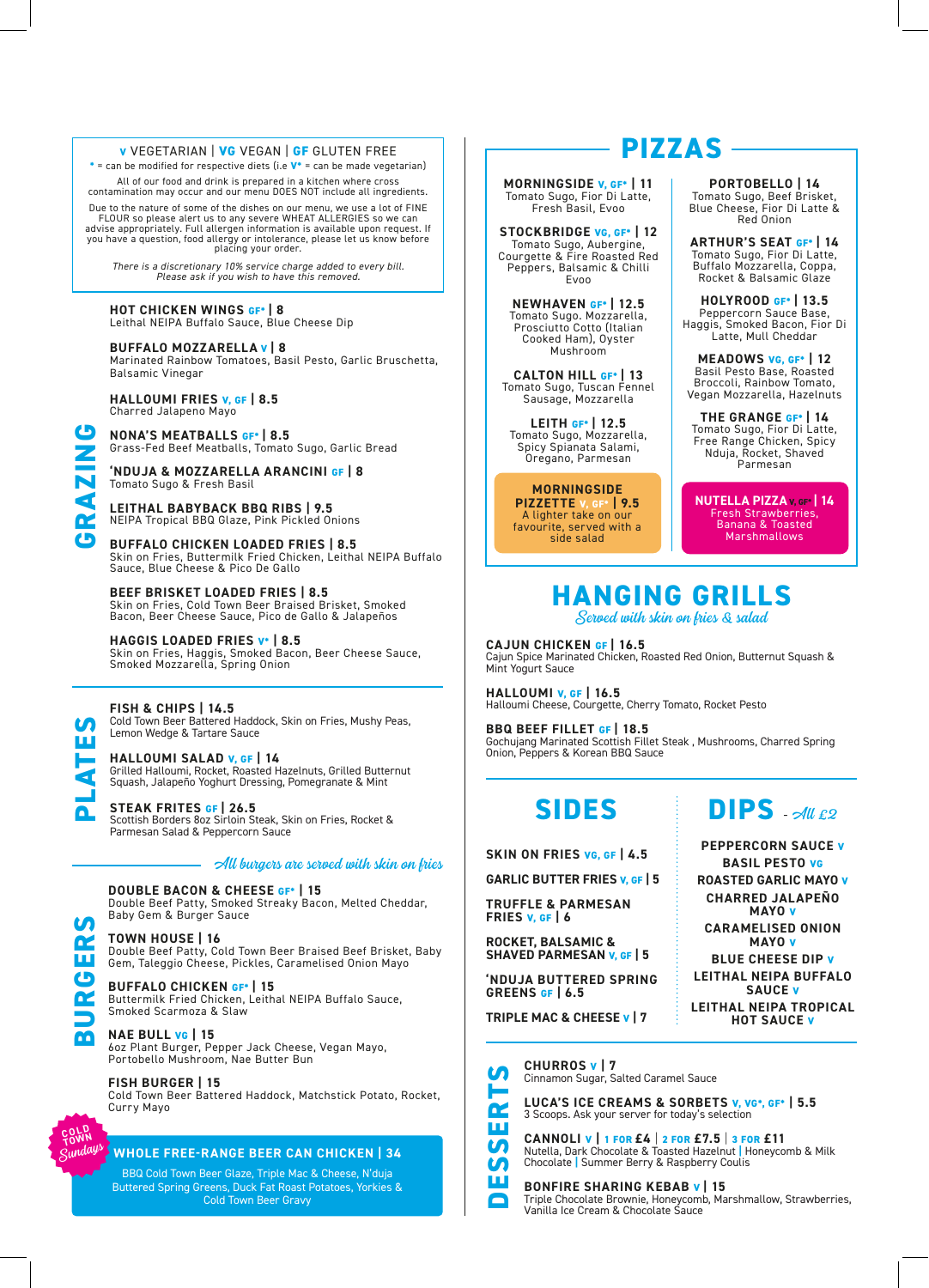#### **V** VEGETARIAN | **VG** VEGAN | **GF** GLUTEN FREE

**\*** = can be modified for respective diets (i.e **V\*** = can be made vegetarian)

All of our food and drink is prepared in a kitchen where cross contamination may occur and our menu DOES NOT include all ingredients.

Due to the nature of some of the dishes on our menu, we use a lot of FINE<br>FLOUR so please alert us to any severe WHEAT ALLERGIES so we can<br>advise appropriately. Full allergen information is available upon request. If you have a question, food allergy or intolerance, please let us know before placing your order.

*There is a discretionary 10% service charge added to every bill. Please ask if you wish to have this removed.*

#### **HOT CHICKEN WINGS GF\* | 8** Leithal NEIPA Buffalo Sauce, Blue Cheese Dip

**BUFFALO MOZZARELLA V | 8**

Marinated Rainbow Tomatoes, Basil Pesto, Garlic Bruschetta, Balsamic Vinegar

**HALLOUMI FRIES V, GF | 8.5** Charred Jalapeno Mayo

**GRAZING**

**PLATES**

**BURGERS**

**COLD TOWN** Sundays

**NONA'S MEATBALLS GF\* | 8.5** Grass-Fed Beef Meatballs, Tomato Sugo, Garlic Bread

**'NDUJA & MOZZARELLA ARANCINI GF | 8** Tomato Sugo & Fresh Basil

**LEITHAL BABYBACK BBQ RIBS | 9.5** NEIPA Tropical BBQ Glaze, Pink Pickled Onions

**BUFFALO CHICKEN LOADED FRIES | 8.5** Skin on Fries, Buttermilk Fried Chicken, Leithal NEIPA Buffalo Sauce, Blue Cheese & Pico De Gallo

**BEEF BRISKET LOADED FRIES | 8.5** Skin on Fries, Cold Town Beer Braised Brisket, Smoked Bacon, Beer Cheese Sauce, Pico de Gallo & Jalapeños

**HAGGIS LOADED FRIES V\* | 8.5** Skin on Fries, Haggis, Smoked Bacon, Beer Cheese Sauce, Smoked Mozzarella, Spring Onion

#### **FISH & CHIPS | 14.5**

Cold Town Beer Battered Haddock, Skin on Fries, Mushy Peas, Lemon Wedge & Tartare Sauce

**HALLOUMI SALAD V, GF | 14** Grilled Halloumi, Rocket, Roasted Hazelnuts, Grilled Butternut Squash, Jalapeño Yoghurt Dressing, Pomegranate & Mint

**STEAK FRITES GF | 26.5** Scottish Borders 8oz Sirloin Steak, Skin on Fries, Rocket & Parmesan Salad & Peppercorn Sauce

#### All burgers are served with skin on fries

**DOUBLE BACON & CHEESE GF\* | 15** Double Beef Patty, Smoked Streaky Bacon, Melted Cheddar, Baby Gem & Burger Sauce

**TOWN HOUSE | 16** Double Beef Patty, Cold Town Beer Braised Beef Brisket, Baby Gem, Taleggio Cheese, Pickles, Caramelised Onion Mayo

**BUFFALO CHICKEN GF\* | 15** Buttermilk Fried Chicken, Leithal NEIPA Buffalo Sauce, Smoked Scarmoza & Slaw

**NAE BULL VG | 15** 6oz Plant Burger, Pepper Jack Cheese, Vegan Mayo, Portobello Mushroom, Nae Butter Bun

**FISH BURGER | 15** Cold Town Beer Battered Haddock, Matchstick Potato, Rocket, Curry Mayo

#### **WHOLE FREE-RANGE BEER CAN CHICKEN | 34**

BBQ Cold Town Beer Glaze, Triple Mac & Cheese, N'duja Buttered Spring Greens, Duck Fat Roast Potatoes, Yorkies & Cold Town Beer Gravy

## **PIZZAS**

**MORNINGSIDE V, GF\* | 11** Tomato Sugo, Fior Di Latte, Fresh Basil, Evoo

**STOCKBRIDGE VG, GF\* | 12** Tomato Sugo, Aubergine, Courgette & Fire Roasted Red Peppers, Balsamic & Chilli Evoo

**NEWHAVEN GF\* | 12.5** Tomato Sugo. Mozzarella, Prosciutto Cotto (Italian Cooked Ham), Oyster Mushroom

**CALTON HILL GF\* | 13** Tomato Sugo, Tuscan Fennel Sausage, Mozzarella

**LEITH GF\* | 12.5** Tomato Sugo, Mozzarella, Spicy Spianata Salami, Oregano, Parmesan

## **MORNINGSIDE**<br>**ZZETTE** v, GF\* | 9.5

**PIZZETTE v** A lighter take on our favourite, served with a side salad

**PORTOBELLO | 14** Tomato Sugo, Beef Brisket, Blue Cheese, Fior Di Latte & Red Onion

**ARTHUR'S SEAT GF\* | 14** Tomato Sugo, Fior Di Latte, Buffalo Mozzarella, Coppa, Rocket & Balsamic Glaze

**HOLYROOD GF\* | 13.5** Peppercorn Sauce Base, Haggis, Smoked Bacon, Fior Di Latte, Mull Cheddar

**MEADOWS VG, GF\* | 12** Basil Pesto Base, Roasted Broccoli, Rainbow Tomato, Vegan Mozzarella, Hazelnuts

**THE GRANGE GF\* | 14** Tomato Sugo, Fior Di Latte, Free Range Chicken, Spicy Nduja, Rocket, Shaved Parmesan

**NUTELLA PIZZA V, GF\* | 14** Fresh Strawberries, Banana & Toasted Marshmallows

## **HANGING GRILLS**

Served with skin on fries & salad

**CAJUN CHICKEN GF | 16.5** Cajun Spice Marinated Chicken, Roasted Red Onion, Butternut Squash & Mint Yogurt Sauce

**HALLOUMI V, GF | 16.5** Halloumi Cheese, Courgette, Cherry Tomato, Rocket Pesto

**BBQ BEEF FILLET GF | 18.5** Gochujang Marinated Scottish Fillet Steak , Mushrooms, Charred Spring Onion, Peppers & Korean BBQ Sauce

## **SIDES**

**SKIN ON FRIES VG, GF | 4.5**

**GARLIC BUTTER FRIES V, GF | 5**

**TRUFFLE & PARMESAN FRIES V, GF | 6** 

**ROCKET, BALSAMIC & SHAVED PARMESAN V, GF | 5**

**'NDUJA BUTTERED SPRING GREENS GF | 6.5**

**TRIPLE MAC & CHEESE V | 7**

**LA** M ш  $\blacksquare$ 

**CHURROS V | 7** M Cinnamon Sugar, Salted Caramel Sauce



**CANNOLI V | 1 FOR £4** | **2 FOR £7.5** | **3 FOR £11** Nutella, Dark Chocolate & Toasted Hazelnut **|** Honeycomb & Milk Chocolate **|** Summer Berry & Raspberry Coulis

**BONFIRE SHARING KEBAB V | 15** Triple Chocolate Brownie, Honeycomb, Marshmallow, Strawberries, Vanilla Ice Cream & Chocolate Sauce

 $DIPS$   $\frac{dH}{dPQ}$ **PEPPERCORN SAUCE V BASIL PESTO VG ROASTED GARLIC MAYO V CHARRED JALAPEÑO** 

**MAYO V CARAMELISED ONION MAYO V**

**BLUE CHEESE DIP V LEITHAL NEIPA BUFFALO SAUCE V LEITHAL NEIPA TROPICAL HOT SAUCE V**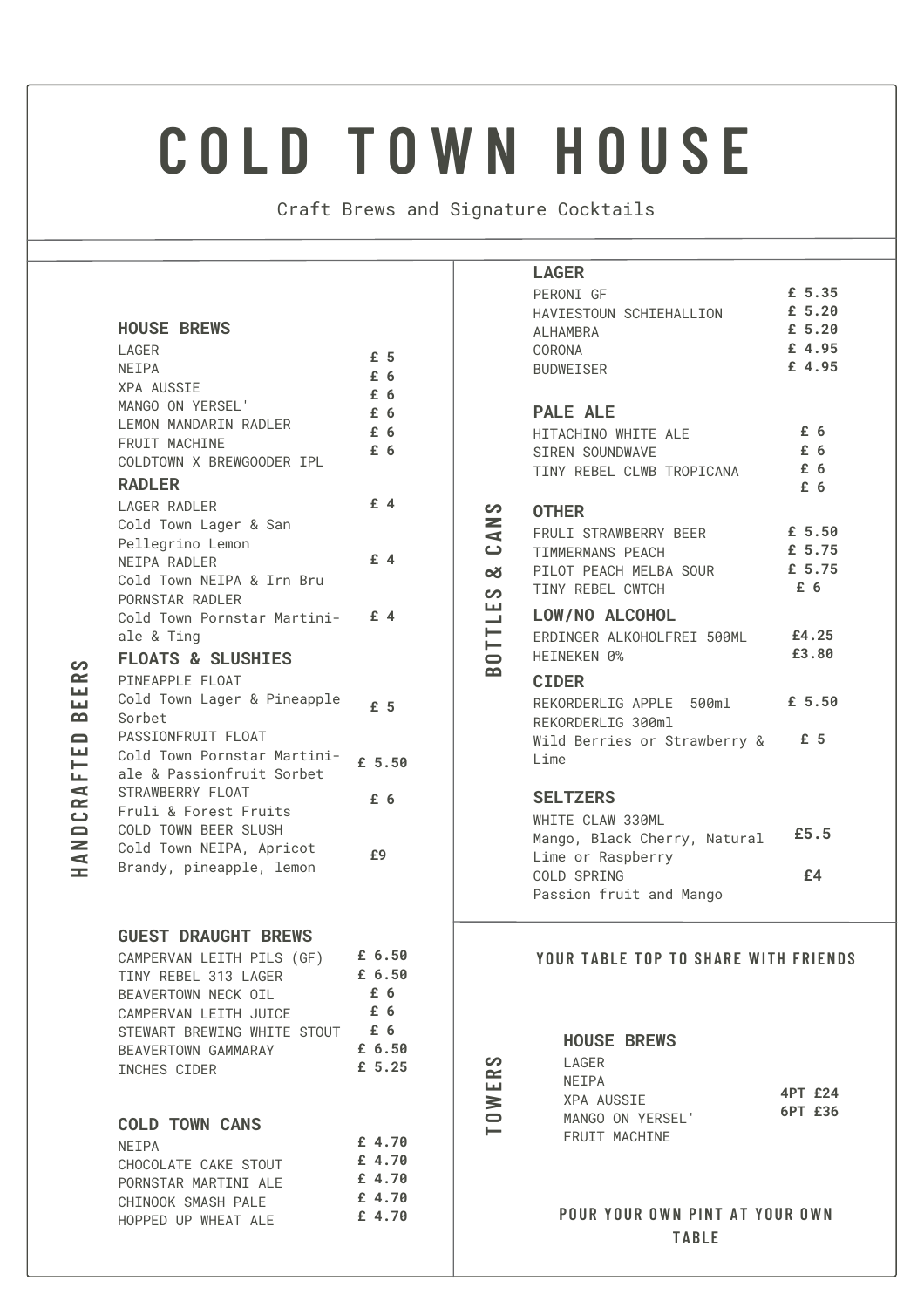# **C O L D T O W N H O U S E**

Craft Brews and Signature Cocktails

 $\blacksquare$ **OWERS**

**BO** $\blacksquare$  $\blacksquare$ **LES**

**&**<u>ت</u> **ANS**

#### **HOUSE BREWS**

| LAGER<br>NEIPA<br><b>XPA AUSSIE</b><br>MANGO ON YERSEL'<br><b>I FMON MANDARTN RADI FR</b><br><b>FRUIT MACHINE</b><br>COLDTOWN X BREWGOODER IPL | £5<br>£6<br>£6<br>£6<br>£6<br>£6 |
|------------------------------------------------------------------------------------------------------------------------------------------------|----------------------------------|
| <b>RADLER</b>                                                                                                                                  |                                  |
| <b>LAGER RADLER</b>                                                                                                                            | £4                               |
| Cold Town Lager & San                                                                                                                          |                                  |
| Pellegrino Lemon<br>NEIPA RADLER                                                                                                               | $f$ 4                            |
| Cold Town NEIPA & Irn Bru                                                                                                                      |                                  |
| PORNSTAR RADLER                                                                                                                                |                                  |
| Cold Town Pornstar Martini-                                                                                                                    | $f$ 4                            |
| ale & Ting                                                                                                                                     |                                  |
| <b>FLOATS &amp; SLUSHIES</b>                                                                                                                   |                                  |
| PTNFAPPLE FLOAT                                                                                                                                |                                  |
| Cold Town Lager & Pineapple                                                                                                                    | f <sub>5</sub>                   |
| Sorbet                                                                                                                                         |                                  |
| PASSIONFRUIT FLOAT<br>Cold Town Pornstar Martini-                                                                                              |                                  |
| ale & Passionfruit Sorbet                                                                                                                      | £ 5.50                           |
| STRAWBERRY FLOAT                                                                                                                               |                                  |
| Fruli & Forest Fruits                                                                                                                          | £6                               |
| COLD TOWN BEER SLUSH                                                                                                                           |                                  |
| Cold Town NEIPA, Apricot                                                                                                                       | £9                               |
| Brandy, pineapple, lemon                                                                                                                       |                                  |
|                                                                                                                                                |                                  |
|                                                                                                                                                |                                  |

#### **GUEST DRAUGHT BREWS** CAMPERVAN LEITH PILS (GF) **£ 6.50**

**HAND**<u>ت</u> **RAFTEDBEERS**

| TINY REBEL 313 LAGER        | £ 6.50   |
|-----------------------------|----------|
| BEAVERTOWN NECK OIL         | £6       |
| CAMPERVAN LEITH JUICE       | £6       |
| STEWART BREWING WHITE STOUT | $f\6$    |
| BEAVERTOWN GAMMARAY         | £6.50    |
| INCHES CIDER                | £ $5.25$ |

### **COLD TOWN CANS**

| <b>NFTPA</b>         | £ 4.70 |
|----------------------|--------|
| CHOCOLATE CAKE STOUT | £4.70  |
| PORNSTAR MARTINI ALF | £4.70  |
| CHINOOK SMASH PALE   | £4.70  |
| HOPPED UP WHEAT ALF  | £4.70  |

| <b>LAGER</b>                         |                |
|--------------------------------------|----------------|
| PERONI GF                            | £ 5.35         |
| HAVIESTOUN SCHIEHALLION              | £ 5.20         |
| ALHAMBRA                             | £ 5.20         |
| CORONA                               | £ 4.95         |
| <b>BUDWEISER</b>                     | £ 4.95         |
|                                      |                |
| <b>PALE ALE</b>                      |                |
| HITACHINO WHITE ALE                  | £ 6            |
| SIREN SOUNDWAVE                      | £ 6            |
| TINY REBEL CLWB TROPICANA            | £6             |
|                                      | £ 6            |
| <b>OTHER</b>                         |                |
| FRULI STRAWBERRY BEER                | £ 5.50         |
| TIMMERMANS PEACH                     | £ 5.75         |
| PILOT PEACH MELBA SOUR               | £ 5.75         |
| TINY REBEL CWTCH                     | £6             |
|                                      |                |
| LOW/NO ALCOHOL                       |                |
| ERDINGER ALKOHOLFREI 500ML           | £4.25<br>£3.80 |
| HFTNFKFN 0%                          |                |
| <b>CIDER</b>                         |                |
| REKORDERLIG APPLE 500ml £ 5.50       |                |
| REKORDERLIG 300ml                    |                |
| Wild Berries or Strawberry & £ 5     |                |
| Lime                                 |                |
|                                      |                |
| <b>SELTZERS</b>                      |                |
| WHITE CLAW 330ML                     |                |
| Mango, Black Cherry, Natural £5.5    |                |
| Lime or Raspberry                    |                |
| COLD SPRING                          | £4             |
| Passion fruit and Mango              |                |
|                                      |                |
|                                      |                |
| YOUR TABLE TOP TO SHARE WITH FRIENDS |                |
|                                      |                |
|                                      |                |
|                                      |                |
| <b>HOUSE BREWS</b>                   |                |
| LAGER                                |                |
| NEIPA                                |                |
| <b>XPA AUSSIE</b>                    | 4PT £24        |
| MANGO ON YERSEL'                     | 6PT £36        |
| FRUIT MACHINE                        |                |
|                                      |                |
|                                      |                |
|                                      |                |
| POUR YOUR OWN PINT AT YOUR OWN       |                |

#### **P OUR Y OUR OWN P INT A T Y OUR OWN T A B L E**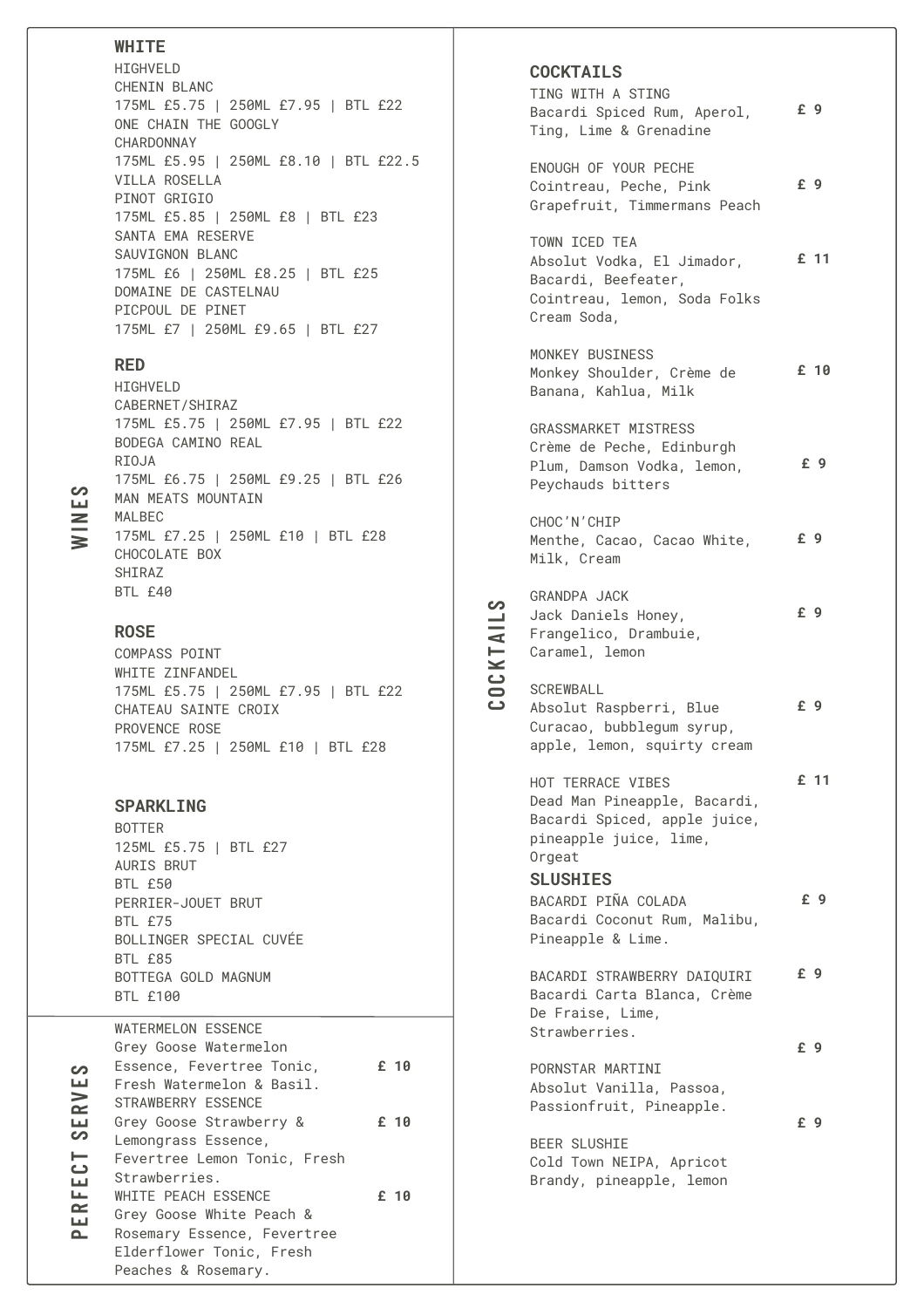#### **W H I T E**

H I G H V E L D CHENIN BLANC 175ML £5.75 | 250ML £7.95 | BTL £22 ONE CHAIN THE GOOGLY CHARDONNAY 175ML £5.95 | 250ML £8.10 | BTL £22.5 VILLA ROSELLA PINOT GRIGIO 175ML £5.85 | 250ML £8 | BTL £23 SANTA EMA RESERVE SAUVIGNON BLANC 175ML £6 | 250ML £8.25 | BTL £25 DOMAINE DE CASTELNAU PICPOUL DE PINET 175ML £7 | 250ML £9.65 | BTL £27

#### **R E D**

H I G H V E L D CABERNET/SHIRAZ 175ML £5.75 | 250ML £7.95 | BTL £22 BODEGA CAMINO REAL RIOJA 175ML £6.75 | 250ML £9.25 | BTL £26 MAN MEATS MOUNTAIN M A L B E C 175ML £7.25 | 250ML £10 | BTL £28 CHOCOLATE BOX SHIRAZ BTL £40

#### **R O S E**

COMPASS POINT WHITE ZINFANDEL 175ML £5.75 | 250ML £7.95 | BTL £22 CHATEAU SAINTE CROIX PROVENCE ROSE 175ML £7.25 | 250ML £10 | BTL £28

SPARKLING **BOTTER** 125ML £5.75 | BTL £27 AURIS BRUT BTL £50 PERRIER-JOUET BRUT B T L £ 7 5 BOLLINGER SPECIAL CUVÉE B T L £ 8 5 BOTTEGA GOLD MAGNUM BTL £100

|     | <b>WATERMELON ESSENCE</b>    |      |  |
|-----|------------------------------|------|--|
|     | Grey Goose Watermelon        |      |  |
| တ   | Essence, Fevertree Tonic,    | £ 10 |  |
| ш   | Fresh Watermelon & Basil.    |      |  |
| RV  | STRAWBERRY ESSENCE           |      |  |
| LЦ  | Grey Goose Strawberry &      | £ 10 |  |
| တ   | Lemongrass Essence,          |      |  |
| 101 | Fevertree Lemon Tonic, Fresh |      |  |
|     | Strawberries.                |      |  |
| Lщ  | WHITE PEACH ESSENCE          | £ 10 |  |
| ER  | Grey Goose White Peach &     |      |  |
| ௨   | Rosemary Essence, Fevertree  |      |  |
|     | Elderflower Tonic, Fresh     |      |  |
|     | Peaches & Rosemary.          |      |  |

#### **C O C KT A I L S**

TING WITH A STING Bacardi Spiced Rum, Aperol, Ting, Lime & Grenadine ENOUGH OF YOUR PECHE Cointreau, Peche, Pink Grapefruit, Timmermans Peach TOWN ICED TEA Absolut Vodka, El Jimador, Bacardi, Beefeater, Cointreau, lemon, Soda Folks Cream Soda, MONKEY BUSINESS Monkey Shoulder, Crème de Banana, Kahlua, Milk GRASSMARKET MISTRESS Crème de Peche, Edinburgh Plum, Damson Vodka, lemon, Peychauds bitters CHOC'N'CHIP Menthe, Cacao, Cacao White, Milk, Cream GRANDPA JACK Jack Daniels Honey, Frangelico, Drambuie, Caramel, lemon SCREWBALL Absolut Raspberri, Blue Curacao, bubblegum syrup, apple, lemon, squirty cream HOT TERRACE VIBES Dead Man Pineapple, Bacardi, Bacardi Spiced, apple juice, pineapple juice, lime, Orgeat **£ 9 £ 9 £ 11 £ 10 £ 9 £ 9 £ 9 £ 9 £ 11 S L U S H I E S** BACARDI PINA COLADA Bacardi Coconut Rum, Malibu, Pineapple & Lime. BACARDI STRAWBERRY DAIQUIRI Bacardi Carta Blanca, Crème De Fraise, Lime, Strawberries. PORNSTAR MARTINI Absolut Vanilla, Passoa, Passionfruit, Pineapple. BEER SLUSHIE Cold Town NEIPA, Apricot Brandy, pineapple, lemon **£ 9 £ 9 £ 9 £ 9**

**C**

**O CKT A I L S**

**WINE S**